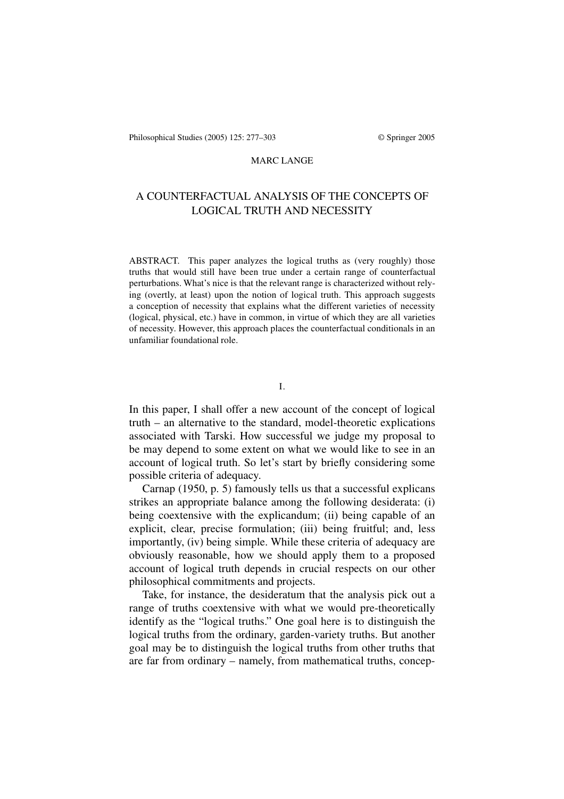# A COUNTERFACTUAL ANALYSIS OF THE CONCEPTS OF LOGICAL TRUTH AND NECESSITY

ABSTRACT. This paper analyzes the logical truths as (very roughly) those truths that would still have been true under a certain range of counterfactual perturbations. What's nice is that the relevant range is characterized without relying (overtly, at least) upon the notion of logical truth. This approach suggests a conception of necessity that explains what the different varieties of necessity (logical, physical, etc.) have in common, in virtue of which they are all varieties of necessity. However, this approach places the counterfactual conditionals in an unfamiliar foundational role.

In this paper, I shall offer a new account of the concept of logical truth – an alternative to the standard, model-theoretic explications associated with Tarski. How successful we judge my proposal to be may depend to some extent on what we would like to see in an account of logical truth. So let's start by briefly considering some possible criteria of adequacy.

Carnap (1950, p. 5) famously tells us that a successful explicans strikes an appropriate balance among the following desiderata: (i) being coextensive with the explicandum; (ii) being capable of an explicit, clear, precise formulation; (iii) being fruitful; and, less importantly, (iv) being simple. While these criteria of adequacy are obviously reasonable, how we should apply them to a proposed account of logical truth depends in crucial respects on our other philosophical commitments and projects.

Take, for instance, the desideratum that the analysis pick out a range of truths coextensive with what we would pre-theoretically identify as the "logical truths." One goal here is to distinguish the logical truths from the ordinary, garden-variety truths. But another goal may be to distinguish the logical truths from other truths that are far from ordinary – namely, from mathematical truths, concep-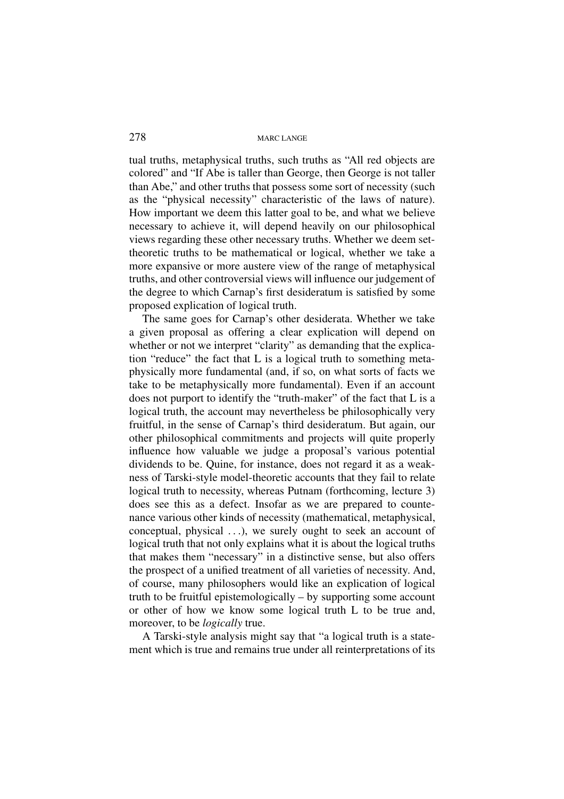tual truths, metaphysical truths, such truths as "All red objects are colored" and "If Abe is taller than George, then George is not taller than Abe," and other truths that possess some sort of necessity (such as the "physical necessity" characteristic of the laws of nature). How important we deem this latter goal to be, and what we believe necessary to achieve it, will depend heavily on our philosophical views regarding these other necessary truths. Whether we deem settheoretic truths to be mathematical or logical, whether we take a more expansive or more austere view of the range of metaphysical truths, and other controversial views will influence our judgement of the degree to which Carnap's first desideratum is satisfied by some proposed explication of logical truth.

The same goes for Carnap's other desiderata. Whether we take a given proposal as offering a clear explication will depend on whether or not we interpret "clarity" as demanding that the explication "reduce" the fact that L is a logical truth to something metaphysically more fundamental (and, if so, on what sorts of facts we take to be metaphysically more fundamental). Even if an account does not purport to identify the "truth-maker" of the fact that L is a logical truth, the account may nevertheless be philosophically very fruitful, in the sense of Carnap's third desideratum. But again, our other philosophical commitments and projects will quite properly influence how valuable we judge a proposal's various potential dividends to be. Quine, for instance, does not regard it as a weakness of Tarski-style model-theoretic accounts that they fail to relate logical truth to necessity, whereas Putnam (forthcoming, lecture 3) does see this as a defect. Insofar as we are prepared to countenance various other kinds of necessity (mathematical, metaphysical, conceptual, physical ...), we surely ought to seek an account of logical truth that not only explains what it is about the logical truths that makes them "necessary" in a distinctive sense, but also offers the prospect of a unified treatment of all varieties of necessity. And, of course, many philosophers would like an explication of logical truth to be fruitful epistemologically – by supporting some account or other of how we know some logical truth L to be true and, moreover, to be *logically* true.

A Tarski-style analysis might say that "a logical truth is a statement which is true and remains true under all reinterpretations of its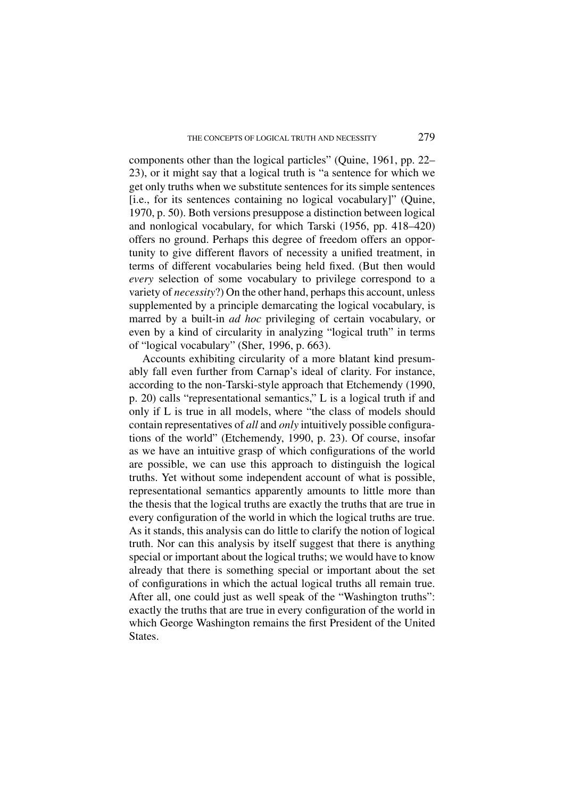components other than the logical particles" (Quine, 1961, pp. 22– 23), or it might say that a logical truth is "a sentence for which we get only truths when we substitute sentences for its simple sentences [i.e., for its sentences containing no logical vocabulary]" (Quine, 1970, p. 50). Both versions presuppose a distinction between logical and nonlogical vocabulary, for which Tarski (1956, pp. 418–420) offers no ground. Perhaps this degree of freedom offers an opportunity to give different flavors of necessity a unified treatment, in terms of different vocabularies being held fixed. (But then would *every* selection of some vocabulary to privilege correspond to a variety of *necessity*?) On the other hand, perhaps this account, unless supplemented by a principle demarcating the logical vocabulary, is marred by a built-in *ad hoc* privileging of certain vocabulary, or even by a kind of circularity in analyzing "logical truth" in terms of "logical vocabulary" (Sher, 1996, p. 663).

Accounts exhibiting circularity of a more blatant kind presumably fall even further from Carnap's ideal of clarity. For instance, according to the non-Tarski-style approach that Etchemendy (1990, p. 20) calls "representational semantics," L is a logical truth if and only if L is true in all models, where "the class of models should contain representatives of *all* and *only* intuitively possible configurations of the world" (Etchemendy, 1990, p. 23). Of course, insofar as we have an intuitive grasp of which configurations of the world are possible, we can use this approach to distinguish the logical truths. Yet without some independent account of what is possible, representational semantics apparently amounts to little more than the thesis that the logical truths are exactly the truths that are true in every configuration of the world in which the logical truths are true. As it stands, this analysis can do little to clarify the notion of logical truth. Nor can this analysis by itself suggest that there is anything special or important about the logical truths; we would have to know already that there is something special or important about the set of configurations in which the actual logical truths all remain true. After all, one could just as well speak of the "Washington truths": exactly the truths that are true in every configuration of the world in which George Washington remains the first President of the United States.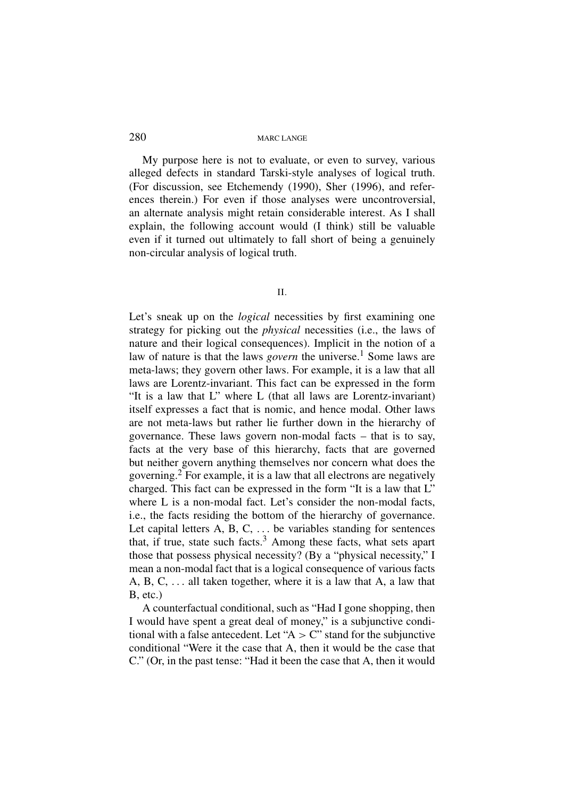My purpose here is not to evaluate, or even to survey, various alleged defects in standard Tarski-style analyses of logical truth. (For discussion, see Etchemendy (1990), Sher (1996), and references therein.) For even if those analyses were uncontroversial, an alternate analysis might retain considerable interest. As I shall explain, the following account would (I think) still be valuable even if it turned out ultimately to fall short of being a genuinely non-circular analysis of logical truth.

II.

Let's sneak up on the *logical* necessities by first examining one strategy for picking out the *physical* necessities (i.e., the laws of nature and their logical consequences). Implicit in the notion of a law of nature is that the laws *govern* the universe.<sup>1</sup> Some laws are meta-laws; they govern other laws. For example, it is a law that all laws are Lorentz-invariant. This fact can be expressed in the form "It is a law that L" where L (that all laws are Lorentz-invariant) itself expresses a fact that is nomic, and hence modal. Other laws are not meta-laws but rather lie further down in the hierarchy of governance. These laws govern non-modal facts – that is to say, facts at the very base of this hierarchy, facts that are governed but neither govern anything themselves nor concern what does the governing.<sup>2</sup> For example, it is a law that all electrons are negatively charged. This fact can be expressed in the form "It is a law that L" where L is a non-modal fact. Let's consider the non-modal facts, i.e., the facts residing the bottom of the hierarchy of governance. Let capital letters A, B, C, ... be variables standing for sentences that, if true, state such facts. $3$  Among these facts, what sets apart those that possess physical necessity? (By a "physical necessity," I mean a non-modal fact that is a logical consequence of various facts A, B, C, ... all taken together, where it is a law that A, a law that B, etc.)

A counterfactual conditional, such as "Had I gone shopping, then I would have spent a great deal of money," is a subjunctive conditional with a false antecedent. Let " $A > C$ " stand for the subjunctive conditional "Were it the case that A, then it would be the case that C." (Or, in the past tense: "Had it been the case that A, then it would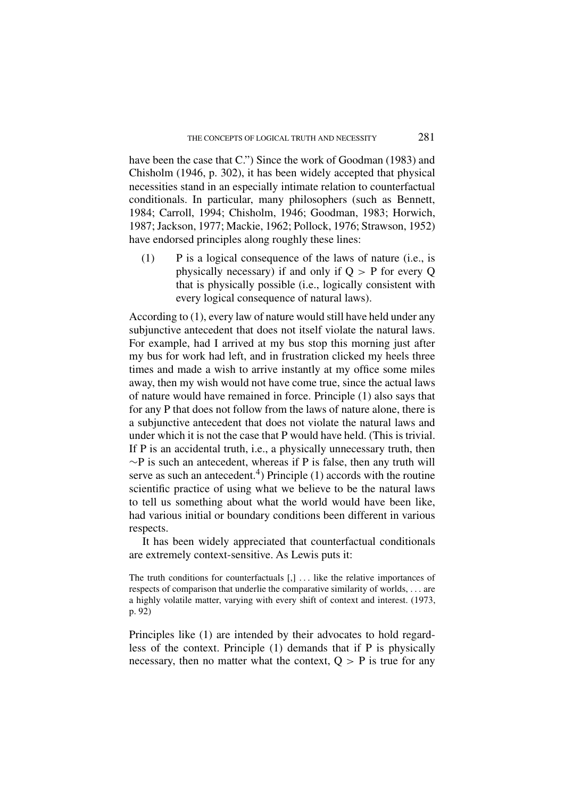have been the case that C.") Since the work of Goodman (1983) and Chisholm (1946, p. 302), it has been widely accepted that physical necessities stand in an especially intimate relation to counterfactual conditionals. In particular, many philosophers (such as Bennett, 1984; Carroll, 1994; Chisholm, 1946; Goodman, 1983; Horwich, 1987; Jackson, 1977; Mackie, 1962; Pollock, 1976; Strawson, 1952) have endorsed principles along roughly these lines:

(1) P is a logical consequence of the laws of nature (i.e., is physically necessary) if and only if  $Q > P$  for every Q that is physically possible (i.e., logically consistent with every logical consequence of natural laws).

According to (1), every law of nature would still have held under any subjunctive antecedent that does not itself violate the natural laws. For example, had I arrived at my bus stop this morning just after my bus for work had left, and in frustration clicked my heels three times and made a wish to arrive instantly at my office some miles away, then my wish would not have come true, since the actual laws of nature would have remained in force. Principle (1) also says that for any P that does not follow from the laws of nature alone, there is a subjunctive antecedent that does not violate the natural laws and under which it is not the case that P would have held. (This is trivial. If P is an accidental truth, i.e., a physically unnecessary truth, then  $\sim$ P is such an antecedent, whereas if P is false, then any truth will serve as such an antecedent.<sup>4</sup>) Principle  $(1)$  accords with the routine scientific practice of using what we believe to be the natural laws to tell us something about what the world would have been like, had various initial or boundary conditions been different in various respects.

It has been widely appreciated that counterfactual conditionals are extremely context-sensitive. As Lewis puts it:

The truth conditions for counterfactuals [,] ... like the relative importances of respects of comparison that underlie the comparative similarity of worlds, ... are a highly volatile matter, varying with every shift of context and interest. (1973, p. 92)

Principles like (1) are intended by their advocates to hold regardless of the context. Principle (1) demands that if P is physically necessary, then no matter what the context,  $Q > P$  is true for any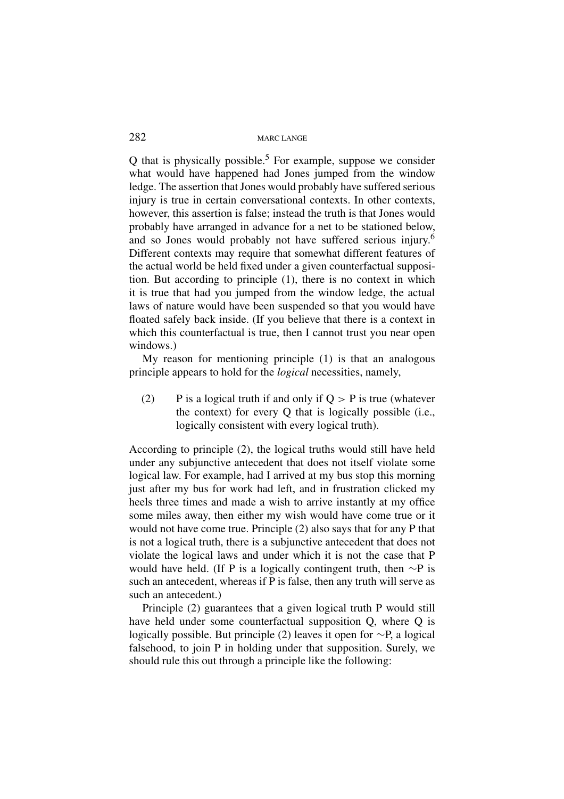$Q$  that is physically possible.<sup>5</sup> For example, suppose we consider what would have happened had Jones jumped from the window ledge. The assertion that Jones would probably have suffered serious injury is true in certain conversational contexts. In other contexts, however, this assertion is false; instead the truth is that Jones would probably have arranged in advance for a net to be stationed below, and so Jones would probably not have suffered serious injury.<sup>6</sup> Different contexts may require that somewhat different features of the actual world be held fixed under a given counterfactual supposition. But according to principle (1), there is no context in which it is true that had you jumped from the window ledge, the actual laws of nature would have been suspended so that you would have floated safely back inside. (If you believe that there is a context in which this counterfactual is true, then I cannot trust you near open windows.)

My reason for mentioning principle (1) is that an analogous principle appears to hold for the *logical* necessities, namely,

(2) P is a logical truth if and only if  $Q > P$  is true (whatever the context) for every Q that is logically possible (i.e., logically consistent with every logical truth).

According to principle (2), the logical truths would still have held under any subjunctive antecedent that does not itself violate some logical law. For example, had I arrived at my bus stop this morning just after my bus for work had left, and in frustration clicked my heels three times and made a wish to arrive instantly at my office some miles away, then either my wish would have come true or it would not have come true. Principle (2) also says that for any P that is not a logical truth, there is a subjunctive antecedent that does not violate the logical laws and under which it is not the case that P would have held. (If P is a logically contingent truth, then  $\sim$ P is such an antecedent, whereas if P is false, then any truth will serve as such an antecedent.)

Principle (2) guarantees that a given logical truth P would still have held under some counterfactual supposition Q, where Q is logically possible. But principle (2) leaves it open for ∼P, a logical falsehood, to join P in holding under that supposition. Surely, we should rule this out through a principle like the following: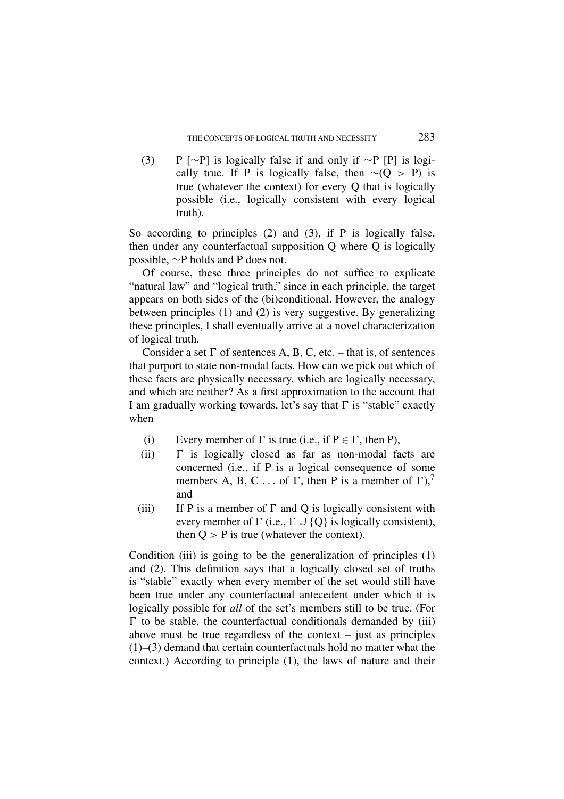(3) P [∼P] is logically false if and only if ∼P [P] is logically true. If P is logically false, then  $∼(Q > P)$  is true (whatever the context) for every Q that is logically possible (i.e., logically consistent with every logical truth).

So according to principles (2) and (3), if P is logically false, then under any counterfactual supposition Q where Q is logically possible, ∼P holds and P does not.

Of course, these three principles do not suffice to explicate "natural law" and "logical truth," since in each principle, the target appears on both sides of the (bi)conditional. However, the analogy between principles (1) and (2) is very suggestive. By generalizing these principles, I shall eventually arrive at a novel characterization of logical truth.

Consider a set  $\Gamma$  of sentences A, B, C, etc. – that is, of sentences that purport to state non-modal facts. How can we pick out which of these facts are physically necessary, which are logically necessary, and which are neither? As a first approximation to the account that I am gradually working towards, let's say that  $\Gamma$  is "stable" exactly when

- (i) Every member of  $\Gamma$  is true (i.e., if  $P \in \Gamma$ , then P),<br>(ii)  $\Gamma$  is logically closed as far as non-modal fa
- $\Gamma$  is logically closed as far as non-modal facts are concerned (i.e., if P is a logical consequence of some members A, B, C ... of  $\Gamma$ , then P is a member of  $\Gamma$ ),<sup>7</sup> and
- (iii) If P is a member of  $\Gamma$  and Q is logically consistent with every member of  $\Gamma$  (i.e.,  $\Gamma \cup \{Q\}$  is logically consistent), then  $Q > P$  is true (whatever the context).

Condition (iii) is going to be the generalization of principles (1) and (2). This definition says that a logically closed set of truths is "stable" exactly when every member of the set would still have been true under any counterfactual antecedent under which it is logically possible for *all* of the set's members still to be true. (For  $\Gamma$  to be stable, the counterfactual conditionals demanded by (iii) above must be true regardless of the context – just as principles (1)–(3) demand that certain counterfactuals hold no matter what the context.) According to principle (1), the laws of nature and their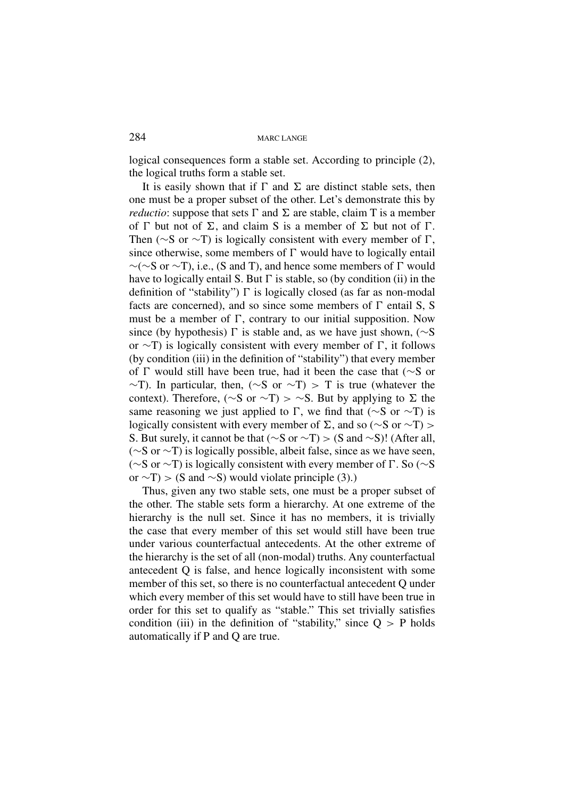logical consequences form a stable set. According to principle (2), the logical truths form a stable set.

It is easily shown that if  $\Gamma$  and  $\Sigma$  are distinct stable sets, then one must be a proper subset of the other. Let's demonstrate this by *reductio*: suppose that sets  $\Gamma$  and  $\Sigma$  are stable, claim  $T$  is a member of  $\Gamma$  but not of  $\Sigma$ , and claim S is a member of  $\Sigma$  but not of  $\Gamma$ . Then ( $\sim$ S or  $\sim$ T) is logically consistent with every member of  $\Gamma$ , since otherwise, some members of  $\Gamma$  would have to logically entail  $∼(~S$  or  $~\sim$ T), i.e., (S and T), and hence some members of  $\Gamma$  would have to logically entail S. But  $\Gamma$  is stable, so (by condition (ii) in the definition of "stability")  $\Gamma$  is logically closed (as far as non-modal facts are concerned), and so since some members of  $\Gamma$  entail S, S must be a member of  $\Gamma$ , contrary to our initial supposition. Now since (by hypothesis)  $\Gamma$  is stable and, as we have just shown, (∼S or ∼T) is logically consistent with every member of  $\Gamma$ , it follows (by condition (iii) in the definition of "stability") that every member of  $\Gamma$  would still have been true, had it been the case that (∼S or  $\sim$ T). In particular, then, ( $\sim$ S or  $\sim$ T) > T is true (whatever the context). Therefore, ( $\sim$ S or  $\sim$ T) >  $\sim$ S. But by applying to  $\Sigma$  the same reasoning we just applied to  $\Gamma$ , we find that (∼S or ∼T) is logically consistent with every member of  $\Sigma$ , and so (∼S or ∼T) > S. But surely, it cannot be that (∼S or ∼T) > (S and ∼S)! (After all, (∼S or ∼T) is logically possible, albeit false, since as we have seen, (∼S or ∼T) is logically consistent with every member of  $\Gamma$ . So (∼S or  $\sim$ T) > (S and  $\sim$ S) would violate principle (3).)

Thus, given any two stable sets, one must be a proper subset of the other. The stable sets form a hierarchy. At one extreme of the hierarchy is the null set. Since it has no members, it is trivially the case that every member of this set would still have been true under various counterfactual antecedents. At the other extreme of the hierarchy is the set of all (non-modal) truths. Any counterfactual antecedent Q is false, and hence logically inconsistent with some member of this set, so there is no counterfactual antecedent Q under which every member of this set would have to still have been true in order for this set to qualify as "stable." This set trivially satisfies condition (iii) in the definition of "stability," since  $Q > P$  holds automatically if P and Q are true.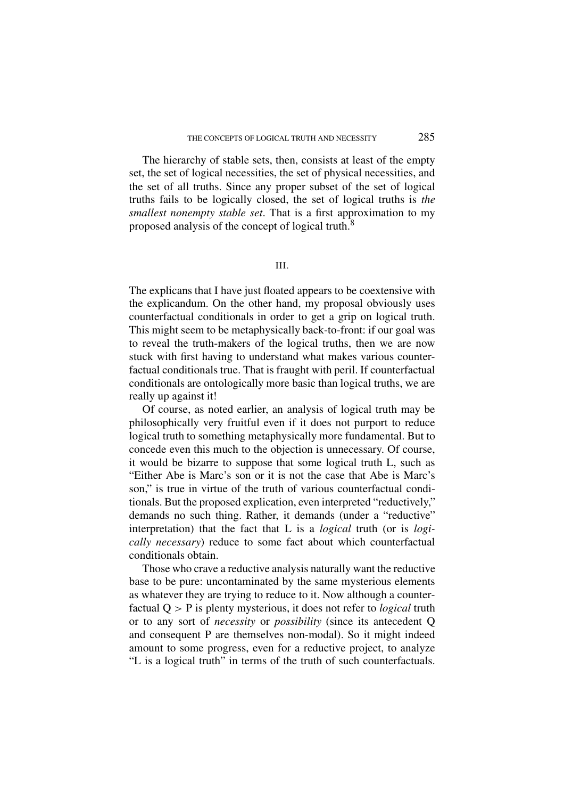The hierarchy of stable sets, then, consists at least of the empty set, the set of logical necessities, the set of physical necessities, and the set of all truths. Since any proper subset of the set of logical truths fails to be logically closed, the set of logical truths is *the smallest nonempty stable set*. That is a first approximation to my proposed analysis of the concept of logical truth.<sup>8</sup>

# III.

The explicans that I have just floated appears to be coextensive with the explicandum. On the other hand, my proposal obviously uses counterfactual conditionals in order to get a grip on logical truth. This might seem to be metaphysically back-to-front: if our goal was to reveal the truth-makers of the logical truths, then we are now stuck with first having to understand what makes various counterfactual conditionals true. That is fraught with peril. If counterfactual conditionals are ontologically more basic than logical truths, we are really up against it!

Of course, as noted earlier, an analysis of logical truth may be philosophically very fruitful even if it does not purport to reduce logical truth to something metaphysically more fundamental. But to concede even this much to the objection is unnecessary. Of course, it would be bizarre to suppose that some logical truth L, such as "Either Abe is Marc's son or it is not the case that Abe is Marc's son," is true in virtue of the truth of various counterfactual conditionals. But the proposed explication, even interpreted "reductively," demands no such thing. Rather, it demands (under a "reductive" interpretation) that the fact that L is a *logical* truth (or is *logically necessary*) reduce to some fact about which counterfactual conditionals obtain.

Those who crave a reductive analysis naturally want the reductive base to be pure: uncontaminated by the same mysterious elements as whatever they are trying to reduce to it. Now although a counterfactual Q > P is plenty mysterious, it does not refer to *logical* truth or to any sort of *necessity* or *possibility* (since its antecedent Q and consequent P are themselves non-modal). So it might indeed amount to some progress, even for a reductive project, to analyze "L is a logical truth" in terms of the truth of such counterfactuals.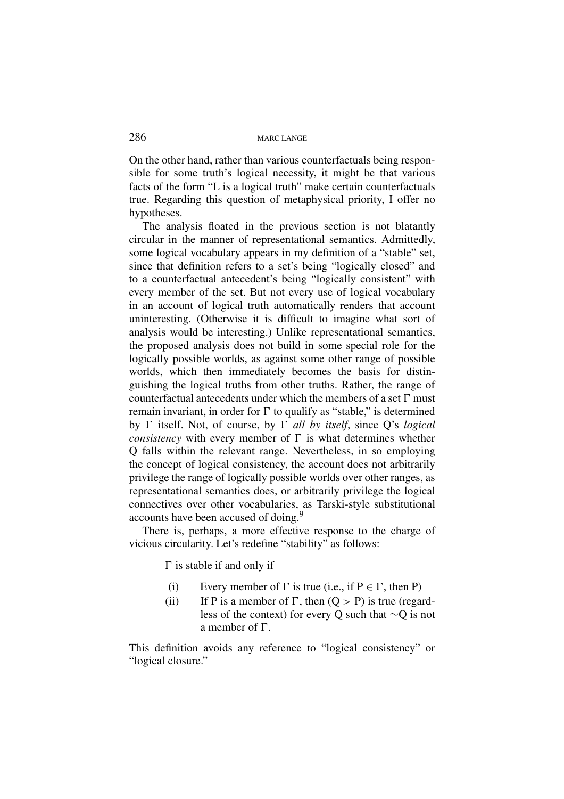On the other hand, rather than various counterfactuals being responsible for some truth's logical necessity, it might be that various facts of the form "L is a logical truth" make certain counterfactuals true. Regarding this question of metaphysical priority, I offer no hypotheses.

The analysis floated in the previous section is not blatantly circular in the manner of representational semantics. Admittedly, some logical vocabulary appears in my definition of a "stable" set, since that definition refers to a set's being "logically closed" and to a counterfactual antecedent's being "logically consistent" with every member of the set. But not every use of logical vocabulary in an account of logical truth automatically renders that account uninteresting. (Otherwise it is difficult to imagine what sort of analysis would be interesting.) Unlike representational semantics, the proposed analysis does not build in some special role for the logically possible worlds, as against some other range of possible worlds, which then immediately becomes the basis for distinguishing the logical truths from other truths. Rather, the range of counterfactual antecedents under which the members of a set  $\Gamma$  must remain invariant, in order for  $\Gamma$  to qualify as "stable," is determined by  $\Gamma$  itself. Not, of course, by  $\Gamma$  all by itself, since Q's *logical consistency* with every member of  $\Gamma$  is what determines whether Q falls within the relevant range. Nevertheless, in so employing the concept of logical consistency, the account does not arbitrarily privilege the range of logically possible worlds over other ranges, as representational semantics does, or arbitrarily privilege the logical connectives over other vocabularies, as Tarski-style substitutional accounts have been accused of doing.9

There is, perhaps, a more effective response to the charge of vicious circularity. Let's redefine "stability" as follows:

 $\Gamma$  is stable if and only if

- (i) Every member of  $\Gamma$  is true (i.e., if  $P \in \Gamma$ , then P)<br>(ii) If P is a member of  $\Gamma$ , then  $(Q > P)$  is true (regar
- If P is a member of  $\Gamma$ , then  $(Q > P)$  is true (regardless of the context) for every Q such that ∼Q is not a member of  $\Gamma$ .

This definition avoids any reference to "logical consistency" or "logical closure."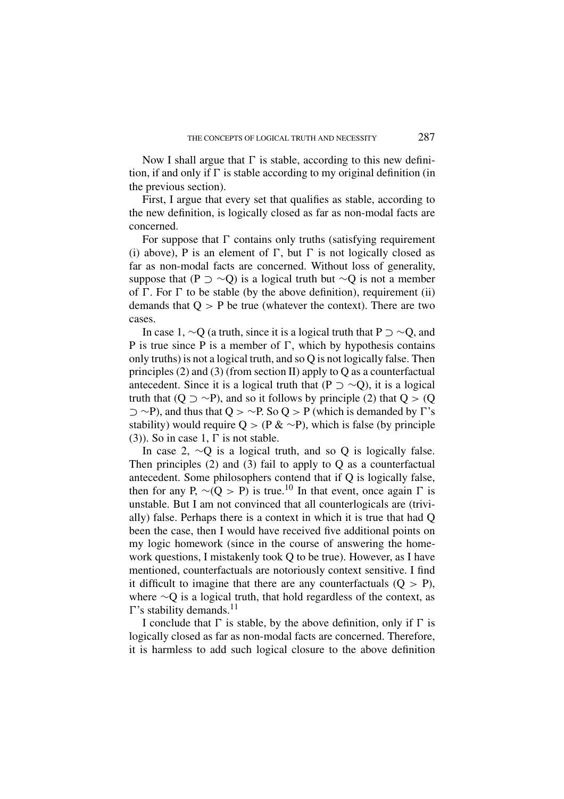Now I shall argue that  $\Gamma$  is stable, according to this new definition, if and only if  $\Gamma$  is stable according to my original definition (in the previous section).

First, I argue that every set that qualifies as stable, according to the new definition, is logically closed as far as non-modal facts are concerned.

For suppose that  $\Gamma$  contains only truths (satisfying requirement (i) above), P is an element of  $\Gamma$ , but  $\Gamma$  is not logically closed as far as non-modal facts are concerned. Without loss of generality, suppose that (P  $\supset \sim$ Q) is a logical truth but  $\sim$ Q is not a member of  $\Gamma$ . For  $\Gamma$  to be stable (by the above definition), requirement (ii) demands that  $Q > P$  be true (whatever the context). There are two cases.

In case 1,  $\sim$ O (a truth, since it is a logical truth that P  $\supset \sim$ O, and P is true since P is a member of  $\Gamma$ , which by hypothesis contains only truths) is not a logical truth, and so Q is not logically false. Then principles (2) and (3) (from section II) apply to Q as a counterfactual antecedent. Since it is a logical truth that (P  $\supset \sim Q$ ), it is a logical truth that  $(Q \supset \sim P)$ , and so it follows by principle (2) that  $Q > (Q \supset \sim P)$  $\supset \sim P$ ), and thus that Q >  $\sim$  P. So Q > P (which is demanded by  $\Gamma$ 's stability) would require Q > (P & ∼P), which is false (by principle (3)). So in case 1,  $\Gamma$  is not stable.

In case 2, ∼Q is a logical truth, and so Q is logically false. Then principles  $(2)$  and  $(3)$  fail to apply to O as a counterfactual antecedent. Some philosophers contend that if Q is logically false, then for any P,  $\sim (Q > P)$  is true.<sup>10</sup> In that event, once again  $\Gamma$  is unstable. But I am not convinced that all counterlogicals are (trivially) false. Perhaps there is a context in which it is true that had Q been the case, then I would have received five additional points on my logic homework (since in the course of answering the homework questions, I mistakenly took Q to be true). However, as I have mentioned, counterfactuals are notoriously context sensitive. I find it difficult to imagine that there are any counterfactuals  $(Q > P)$ , where ∼Q is a logical truth, that hold regardless of the context, as  $\Gamma$ 's stability demands.<sup>11</sup>

I conclude that  $\Gamma$  is stable, by the above definition, only if  $\Gamma$  is logically closed as far as non-modal facts are concerned. Therefore, it is harmless to add such logical closure to the above definition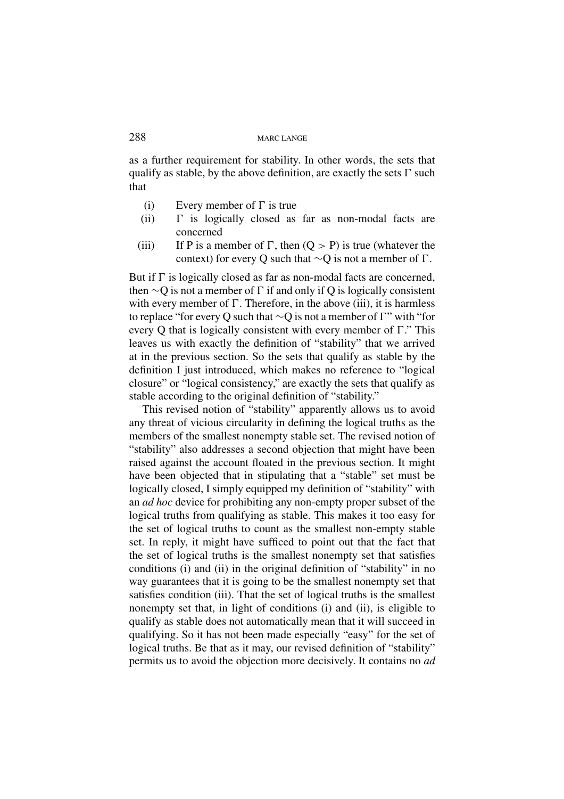as a further requirement for stability. In other words, the sets that qualify as stable, by the above definition, are exactly the sets  $\Gamma$  such that

- (i) Every member of  $\Gamma$  is true
- (ii)  $\Gamma$  is logically closed as far as non-modal facts are concerned
- (iii) If P is a member of  $\Gamma$ , then  $(Q > P)$  is true (whatever the context) for every Q such that  $\sim$ O is not a member of  $\Gamma$ .

But if  $\Gamma$  is logically closed as far as non-modal facts are concerned, then  $\sim Q$  is not a member of  $\Gamma$  if and only if Q is logically consistent with every member of  $\Gamma$ . Therefore, in the above (iii), it is harmless to replace "for every Q such that  $\sim$ Q is not a member of  $\Gamma$ " with "for every Q that is logically consistent with every member of  $\Gamma$ ." This leaves us with exactly the definition of "stability" that we arrived at in the previous section. So the sets that qualify as stable by the definition I just introduced, which makes no reference to "logical closure" or "logical consistency," are exactly the sets that qualify as stable according to the original definition of "stability."

This revised notion of "stability" apparently allows us to avoid any threat of vicious circularity in defining the logical truths as the members of the smallest nonempty stable set. The revised notion of "stability" also addresses a second objection that might have been raised against the account floated in the previous section. It might have been objected that in stipulating that a "stable" set must be logically closed, I simply equipped my definition of "stability" with an *ad hoc* device for prohibiting any non-empty proper subset of the logical truths from qualifying as stable. This makes it too easy for the set of logical truths to count as the smallest non-empty stable set. In reply, it might have sufficed to point out that the fact that the set of logical truths is the smallest nonempty set that satisfies conditions (i) and (ii) in the original definition of "stability" in no way guarantees that it is going to be the smallest nonempty set that satisfies condition (iii). That the set of logical truths is the smallest nonempty set that, in light of conditions (i) and (ii), is eligible to qualify as stable does not automatically mean that it will succeed in qualifying. So it has not been made especially "easy" for the set of logical truths. Be that as it may, our revised definition of "stability" permits us to avoid the objection more decisively. It contains no *ad*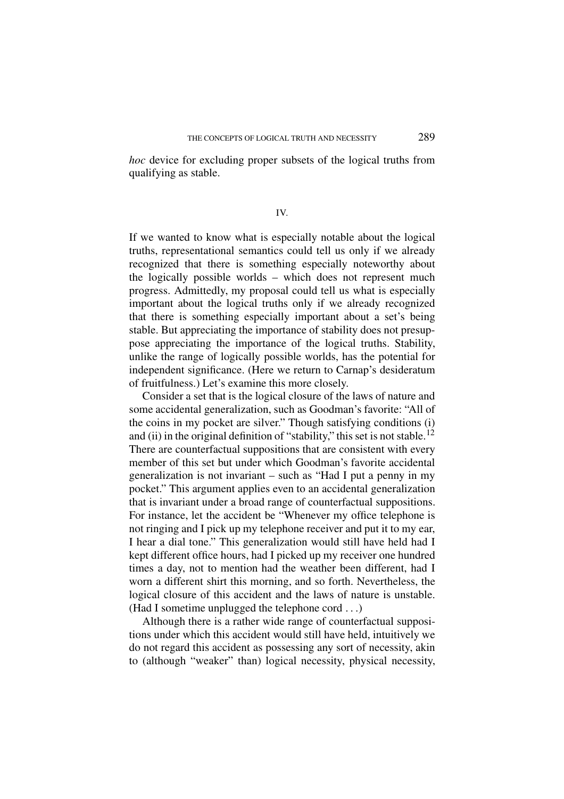*hoc* device for excluding proper subsets of the logical truths from qualifying as stable.

IV.

If we wanted to know what is especially notable about the logical truths, representational semantics could tell us only if we already recognized that there is something especially noteworthy about the logically possible worlds – which does not represent much progress. Admittedly, my proposal could tell us what is especially important about the logical truths only if we already recognized that there is something especially important about a set's being stable. But appreciating the importance of stability does not presuppose appreciating the importance of the logical truths. Stability, unlike the range of logically possible worlds, has the potential for independent significance. (Here we return to Carnap's desideratum of fruitfulness.) Let's examine this more closely.

Consider a set that is the logical closure of the laws of nature and some accidental generalization, such as Goodman's favorite: "All of the coins in my pocket are silver." Though satisfying conditions (i) and (ii) in the original definition of "stability," this set is not stable.<sup>12</sup> There are counterfactual suppositions that are consistent with every member of this set but under which Goodman's favorite accidental generalization is not invariant – such as "Had I put a penny in my pocket." This argument applies even to an accidental generalization that is invariant under a broad range of counterfactual suppositions. For instance, let the accident be "Whenever my office telephone is not ringing and I pick up my telephone receiver and put it to my ear, I hear a dial tone." This generalization would still have held had I kept different office hours, had I picked up my receiver one hundred times a day, not to mention had the weather been different, had I worn a different shirt this morning, and so forth. Nevertheless, the logical closure of this accident and the laws of nature is unstable. (Had I sometime unplugged the telephone cord ...)

Although there is a rather wide range of counterfactual suppositions under which this accident would still have held, intuitively we do not regard this accident as possessing any sort of necessity, akin to (although "weaker" than) logical necessity, physical necessity,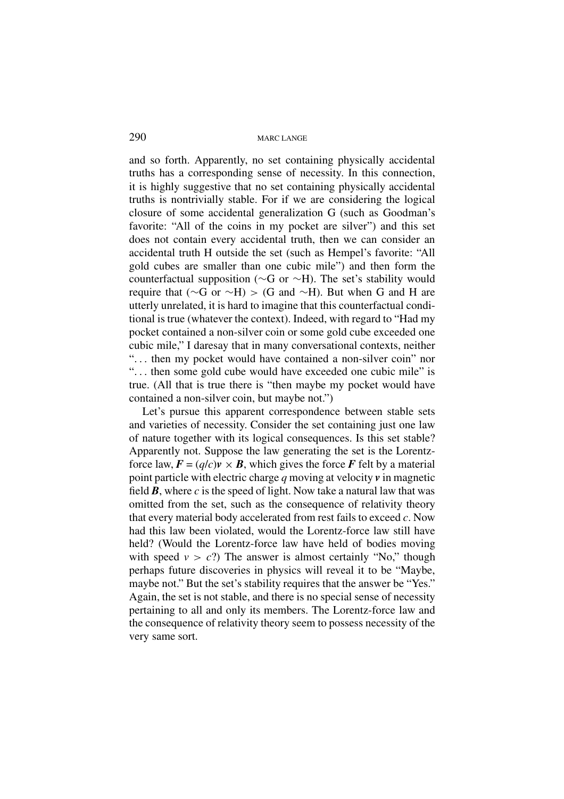and so forth. Apparently, no set containing physically accidental truths has a corresponding sense of necessity. In this connection, it is highly suggestive that no set containing physically accidental truths is nontrivially stable. For if we are considering the logical closure of some accidental generalization G (such as Goodman's favorite: "All of the coins in my pocket are silver") and this set does not contain every accidental truth, then we can consider an accidental truth H outside the set (such as Hempel's favorite: "All gold cubes are smaller than one cubic mile") and then form the counterfactual supposition (∼G or ∼H). The set's stability would require that ( $\sim$ G or  $\sim$ H) > (G and  $\sim$ H). But when G and H are utterly unrelated, it is hard to imagine that this counterfactual conditional is true (whatever the context). Indeed, with regard to "Had my pocket contained a non-silver coin or some gold cube exceeded one cubic mile," I daresay that in many conversational contexts, neither "... then my pocket would have contained a non-silver coin" nor "... then some gold cube would have exceeded one cubic mile" is true. (All that is true there is "then maybe my pocket would have contained a non-silver coin, but maybe not.")

Let's pursue this apparent correspondence between stable sets and varieties of necessity. Consider the set containing just one law of nature together with its logical consequences. Is this set stable? Apparently not. Suppose the law generating the set is the Lorentzforce law,  $\mathbf{F} = (q/c)\mathbf{v} \times \mathbf{B}$ , which gives the force  $\mathbf{F}$  felt by a material point particle with electric charge *q* moving at velocity *v* in magnetic field  $\bm{B}$ , where  $\bm{c}$  is the speed of light. Now take a natural law that was omitted from the set, such as the consequence of relativity theory that every material body accelerated from rest fails to exceed *c*. Now had this law been violated, would the Lorentz-force law still have held? (Would the Lorentz-force law have held of bodies moving with speed  $v > c$ ?) The answer is almost certainly "No," though perhaps future discoveries in physics will reveal it to be "Maybe, maybe not." But the set's stability requires that the answer be "Yes." Again, the set is not stable, and there is no special sense of necessity pertaining to all and only its members. The Lorentz-force law and the consequence of relativity theory seem to possess necessity of the very same sort.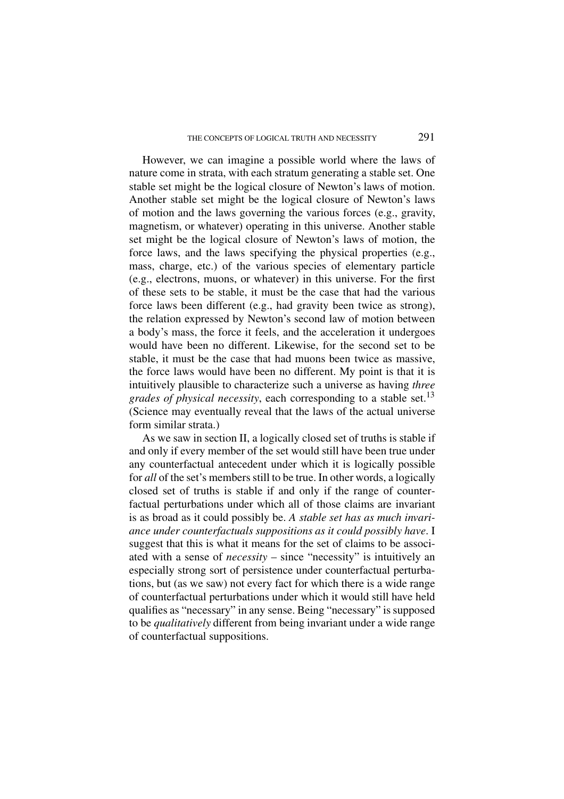However, we can imagine a possible world where the laws of nature come in strata, with each stratum generating a stable set. One stable set might be the logical closure of Newton's laws of motion. Another stable set might be the logical closure of Newton's laws of motion and the laws governing the various forces (e.g., gravity, magnetism, or whatever) operating in this universe. Another stable set might be the logical closure of Newton's laws of motion, the force laws, and the laws specifying the physical properties (e.g., mass, charge, etc.) of the various species of elementary particle (e.g., electrons, muons, or whatever) in this universe. For the first of these sets to be stable, it must be the case that had the various force laws been different (e.g., had gravity been twice as strong), the relation expressed by Newton's second law of motion between a body's mass, the force it feels, and the acceleration it undergoes would have been no different. Likewise, for the second set to be stable, it must be the case that had muons been twice as massive, the force laws would have been no different. My point is that it is intuitively plausible to characterize such a universe as having *three grades of physical necessity*, each corresponding to a stable set.<sup>13</sup> (Science may eventually reveal that the laws of the actual universe form similar strata.)

As we saw in section II, a logically closed set of truths is stable if and only if every member of the set would still have been true under any counterfactual antecedent under which it is logically possible for *all* of the set's members still to be true. In other words, a logically closed set of truths is stable if and only if the range of counterfactual perturbations under which all of those claims are invariant is as broad as it could possibly be. *A stable set has as much invariance under counterfactuals suppositions as it could possibly have*. I suggest that this is what it means for the set of claims to be associated with a sense of *necessity* – since "necessity" is intuitively an especially strong sort of persistence under counterfactual perturbations, but (as we saw) not every fact for which there is a wide range of counterfactual perturbations under which it would still have held qualifies as "necessary" in any sense. Being "necessary" is supposed to be *qualitatively* different from being invariant under a wide range of counterfactual suppositions.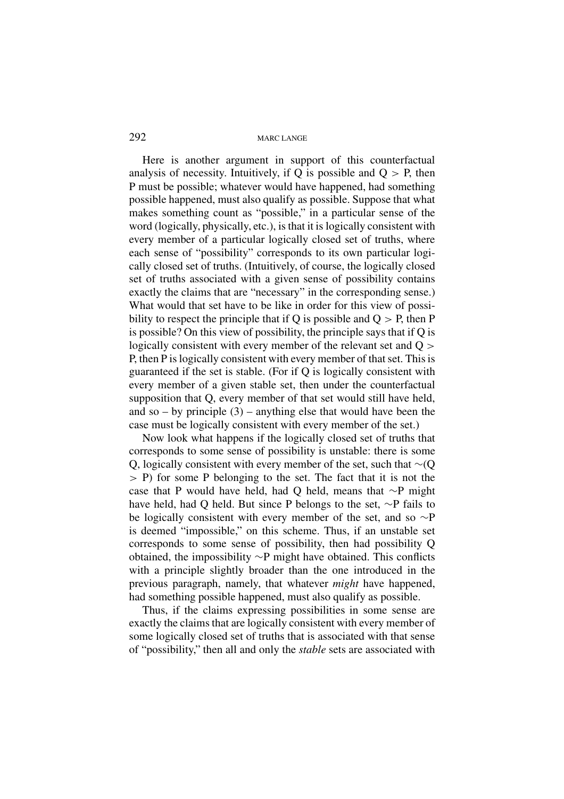Here is another argument in support of this counterfactual analysis of necessity. Intuitively, if O is possible and  $O > P$ , then P must be possible; whatever would have happened, had something possible happened, must also qualify as possible. Suppose that what makes something count as "possible," in a particular sense of the word (logically, physically, etc.), is that it is logically consistent with every member of a particular logically closed set of truths, where each sense of "possibility" corresponds to its own particular logically closed set of truths. (Intuitively, of course, the logically closed set of truths associated with a given sense of possibility contains exactly the claims that are "necessary" in the corresponding sense.) What would that set have to be like in order for this view of possibility to respect the principle that if O is possible and  $O > P$ , then P is possible? On this view of possibility, the principle says that if Q is logically consistent with every member of the relevant set and Q  $>$ P, then P is logically consistent with every member of that set. This is guaranteed if the set is stable. (For if Q is logically consistent with every member of a given stable set, then under the counterfactual supposition that Q, every member of that set would still have held, and so – by principle  $(3)$  – anything else that would have been the case must be logically consistent with every member of the set.)

Now look what happens if the logically closed set of truths that corresponds to some sense of possibility is unstable: there is some Q, logically consistent with every member of the set, such that ∼(Q > P) for some P belonging to the set. The fact that it is not the case that P would have held, had Q held, means that ∼P might have held, had Q held. But since P belongs to the set, ∼P fails to be logically consistent with every member of the set, and so ∼P is deemed "impossible," on this scheme. Thus, if an unstable set corresponds to some sense of possibility, then had possibility Q obtained, the impossibility ∼P might have obtained. This conflicts with a principle slightly broader than the one introduced in the previous paragraph, namely, that whatever *might* have happened, had something possible happened, must also qualify as possible.

Thus, if the claims expressing possibilities in some sense are exactly the claims that are logically consistent with every member of some logically closed set of truths that is associated with that sense of "possibility," then all and only the *stable* sets are associated with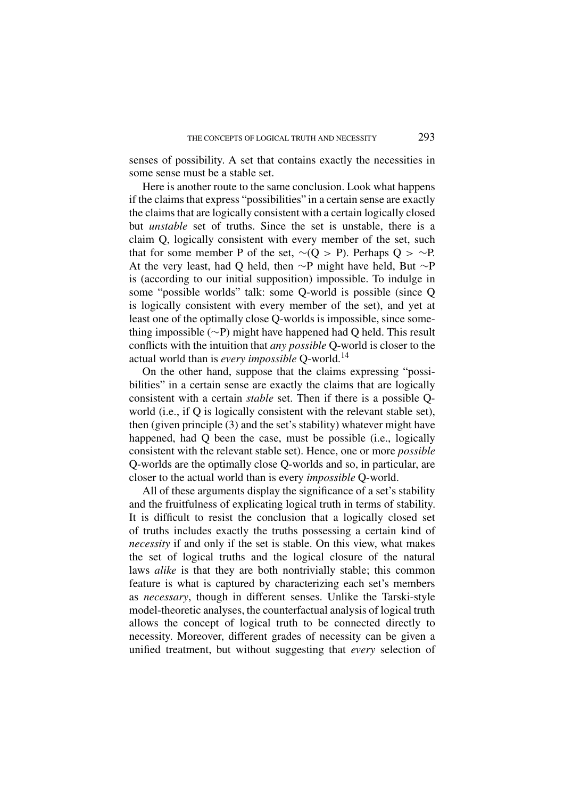senses of possibility. A set that contains exactly the necessities in some sense must be a stable set.

Here is another route to the same conclusion. Look what happens if the claims that express "possibilities" in a certain sense are exactly the claims that are logically consistent with a certain logically closed but *unstable* set of truths. Since the set is unstable, there is a claim Q, logically consistent with every member of the set, such that for some member P of the set,  $∼(Q > P)$ . Perhaps  $Q > ∼P$ . At the very least, had Q held, then ∼P might have held, But ∼P is (according to our initial supposition) impossible. To indulge in some "possible worlds" talk: some Q-world is possible (since Q is logically consistent with every member of the set), and yet at least one of the optimally close Q-worlds is impossible, since something impossible (∼P) might have happened had Q held. This result conflicts with the intuition that *any possible* Q-world is closer to the actual world than is *every impossible* Q-world.<sup>14</sup>

On the other hand, suppose that the claims expressing "possibilities" in a certain sense are exactly the claims that are logically consistent with a certain *stable* set. Then if there is a possible Qworld (i.e., if Q is logically consistent with the relevant stable set), then (given principle (3) and the set's stability) whatever might have happened, had Q been the case, must be possible (i.e., logically consistent with the relevant stable set). Hence, one or more *possible* Q-worlds are the optimally close Q-worlds and so, in particular, are closer to the actual world than is every *impossible* Q-world.

All of these arguments display the significance of a set's stability and the fruitfulness of explicating logical truth in terms of stability. It is difficult to resist the conclusion that a logically closed set of truths includes exactly the truths possessing a certain kind of *necessity* if and only if the set is stable. On this view, what makes the set of logical truths and the logical closure of the natural laws *alike* is that they are both nontrivially stable; this common feature is what is captured by characterizing each set's members as *necessary*, though in different senses. Unlike the Tarski-style model-theoretic analyses, the counterfactual analysis of logical truth allows the concept of logical truth to be connected directly to necessity. Moreover, different grades of necessity can be given a unified treatment, but without suggesting that *every* selection of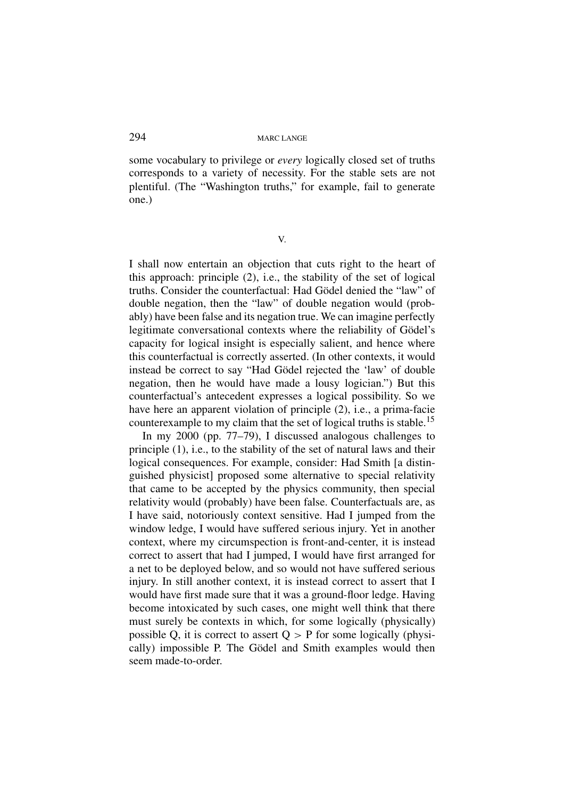some vocabulary to privilege or *every* logically closed set of truths corresponds to a variety of necessity. For the stable sets are not plentiful. (The "Washington truths," for example, fail to generate one.)

V.

I shall now entertain an objection that cuts right to the heart of this approach: principle (2), i.e., the stability of the set of logical truths. Consider the counterfactual: Had Gödel denied the "law" of double negation, then the "law" of double negation would (probably) have been false and its negation true. We can imagine perfectly legitimate conversational contexts where the reliability of Gödel's capacity for logical insight is especially salient, and hence where this counterfactual is correctly asserted. (In other contexts, it would instead be correct to say "Had Gödel rejected the 'law' of double negation, then he would have made a lousy logician.") But this counterfactual's antecedent expresses a logical possibility. So we have here an apparent violation of principle (2), i.e., a prima-facie counterexample to my claim that the set of logical truths is stable.<sup>15</sup>

In my 2000 (pp. 77–79), I discussed analogous challenges to principle (1), i.e., to the stability of the set of natural laws and their logical consequences. For example, consider: Had Smith [a distinguished physicist] proposed some alternative to special relativity that came to be accepted by the physics community, then special relativity would (probably) have been false. Counterfactuals are, as I have said, notoriously context sensitive. Had I jumped from the window ledge, I would have suffered serious injury. Yet in another context, where my circumspection is front-and-center, it is instead correct to assert that had I jumped, I would have first arranged for a net to be deployed below, and so would not have suffered serious injury. In still another context, it is instead correct to assert that I would have first made sure that it was a ground-floor ledge. Having become intoxicated by such cases, one might well think that there must surely be contexts in which, for some logically (physically) possible Q, it is correct to assert  $Q > P$  for some logically (physically) impossible P. The Gödel and Smith examples would then seem made-to-order.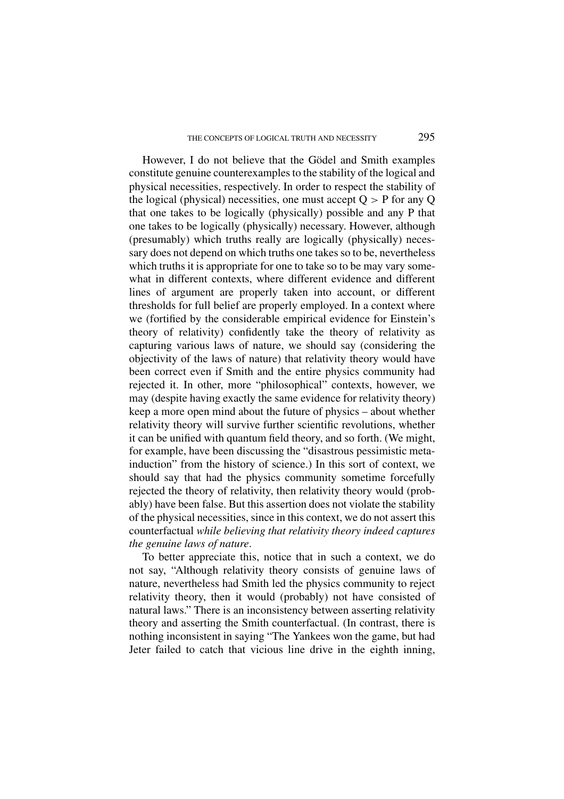However, I do not believe that the Gödel and Smith examples constitute genuine counterexamples to the stability of the logical and physical necessities, respectively. In order to respect the stability of the logical (physical) necessities, one must accept  $Q > P$  for any Q that one takes to be logically (physically) possible and any P that one takes to be logically (physically) necessary. However, although (presumably) which truths really are logically (physically) necessary does not depend on which truths one takes so to be, nevertheless which truths it is appropriate for one to take so to be may vary somewhat in different contexts, where different evidence and different lines of argument are properly taken into account, or different thresholds for full belief are properly employed. In a context where we (fortified by the considerable empirical evidence for Einstein's theory of relativity) confidently take the theory of relativity as capturing various laws of nature, we should say (considering the objectivity of the laws of nature) that relativity theory would have been correct even if Smith and the entire physics community had rejected it. In other, more "philosophical" contexts, however, we may (despite having exactly the same evidence for relativity theory) keep a more open mind about the future of physics – about whether relativity theory will survive further scientific revolutions, whether it can be unified with quantum field theory, and so forth. (We might, for example, have been discussing the "disastrous pessimistic metainduction" from the history of science.) In this sort of context, we should say that had the physics community sometime forcefully rejected the theory of relativity, then relativity theory would (probably) have been false. But this assertion does not violate the stability of the physical necessities, since in this context, we do not assert this counterfactual *while believing that relativity theory indeed captures the genuine laws of nature*.

To better appreciate this, notice that in such a context, we do not say, "Although relativity theory consists of genuine laws of nature, nevertheless had Smith led the physics community to reject relativity theory, then it would (probably) not have consisted of natural laws." There is an inconsistency between asserting relativity theory and asserting the Smith counterfactual. (In contrast, there is nothing inconsistent in saying "The Yankees won the game, but had Jeter failed to catch that vicious line drive in the eighth inning,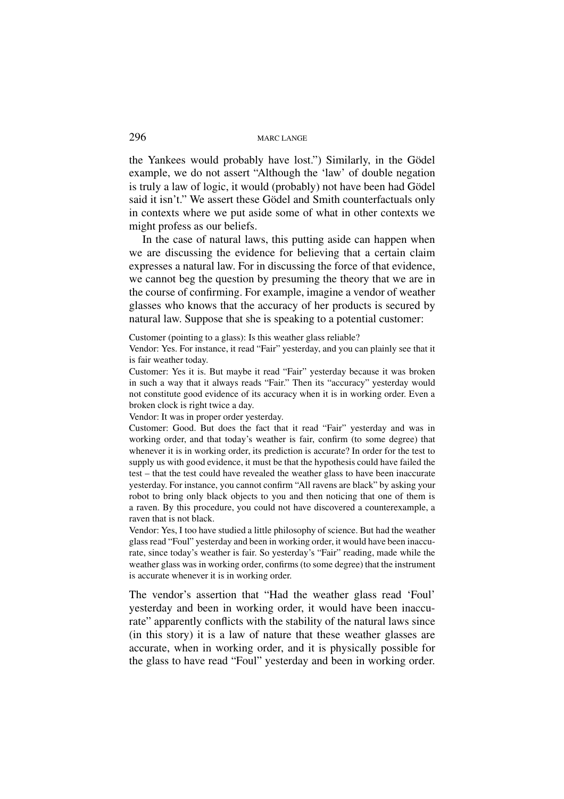the Yankees would probably have lost.") Similarly, in the Gödel example, we do not assert "Although the 'law' of double negation is truly a law of logic, it would (probably) not have been had Gödel said it isn't." We assert these Gödel and Smith counterfactuals only in contexts where we put aside some of what in other contexts we might profess as our beliefs.

In the case of natural laws, this putting aside can happen when we are discussing the evidence for believing that a certain claim expresses a natural law. For in discussing the force of that evidence, we cannot beg the question by presuming the theory that we are in the course of confirming. For example, imagine a vendor of weather glasses who knows that the accuracy of her products is secured by natural law. Suppose that she is speaking to a potential customer:

Customer (pointing to a glass): Is this weather glass reliable?

Vendor: Yes. For instance, it read "Fair" yesterday, and you can plainly see that it is fair weather today.

Customer: Yes it is. But maybe it read "Fair" yesterday because it was broken in such a way that it always reads "Fair." Then its "accuracy" yesterday would not constitute good evidence of its accuracy when it is in working order. Even a broken clock is right twice a day.

Vendor: It was in proper order yesterday.

Customer: Good. But does the fact that it read "Fair" yesterday and was in working order, and that today's weather is fair, confirm (to some degree) that whenever it is in working order, its prediction is accurate? In order for the test to supply us with good evidence, it must be that the hypothesis could have failed the test – that the test could have revealed the weather glass to have been inaccurate yesterday. For instance, you cannot confirm "All ravens are black" by asking your robot to bring only black objects to you and then noticing that one of them is a raven. By this procedure, you could not have discovered a counterexample, a raven that is not black.

Vendor: Yes, I too have studied a little philosophy of science. But had the weather glass read "Foul" yesterday and been in working order, it would have been inaccurate, since today's weather is fair. So yesterday's "Fair" reading, made while the weather glass was in working order, confirms (to some degree) that the instrument is accurate whenever it is in working order.

The vendor's assertion that "Had the weather glass read 'Foul' yesterday and been in working order, it would have been inaccurate" apparently conflicts with the stability of the natural laws since (in this story) it is a law of nature that these weather glasses are accurate, when in working order, and it is physically possible for the glass to have read "Foul" yesterday and been in working order.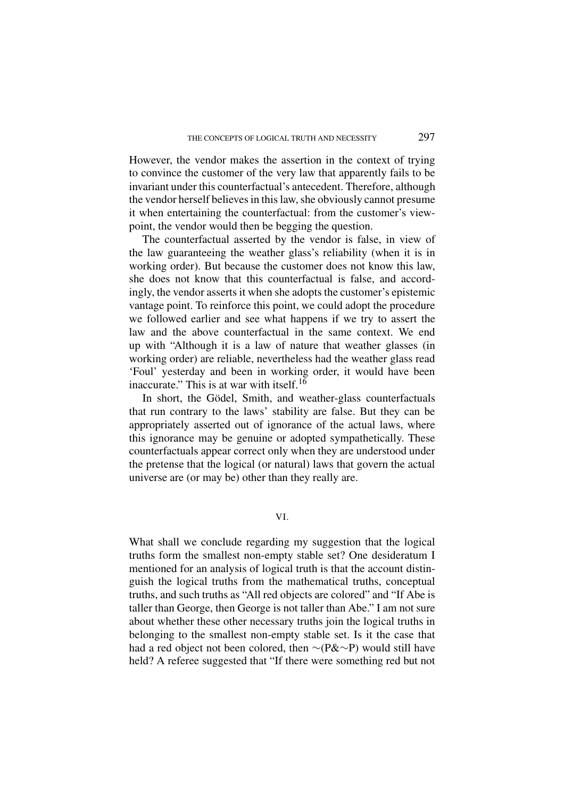However, the vendor makes the assertion in the context of trying to convince the customer of the very law that apparently fails to be invariant under this counterfactual's antecedent. Therefore, although the vendor herself believes in this law, she obviously cannot presume it when entertaining the counterfactual: from the customer's viewpoint, the vendor would then be begging the question.

The counterfactual asserted by the vendor is false, in view of the law guaranteeing the weather glass's reliability (when it is in working order). But because the customer does not know this law, she does not know that this counterfactual is false, and accordingly, the vendor asserts it when she adopts the customer's epistemic vantage point. To reinforce this point, we could adopt the procedure we followed earlier and see what happens if we try to assert the law and the above counterfactual in the same context. We end up with "Although it is a law of nature that weather glasses (in working order) are reliable, nevertheless had the weather glass read 'Foul' yesterday and been in working order, it would have been inaccurate." This is at war with itself.<sup>16</sup>

In short, the Gödel, Smith, and weather-glass counterfactuals that run contrary to the laws' stability are false. But they can be appropriately asserted out of ignorance of the actual laws, where this ignorance may be genuine or adopted sympathetically. These counterfactuals appear correct only when they are understood under the pretense that the logical (or natural) laws that govern the actual universe are (or may be) other than they really are.

What shall we conclude regarding my suggestion that the logical truths form the smallest non-empty stable set? One desideratum I mentioned for an analysis of logical truth is that the account distinguish the logical truths from the mathematical truths, conceptual truths, and such truths as "All red objects are colored" and "If Abe is taller than George, then George is not taller than Abe." I am not sure about whether these other necessary truths join the logical truths in belonging to the smallest non-empty stable set. Is it the case that had a red object not been colored, then ∼(P&∼P) would still have held? A referee suggested that "If there were something red but not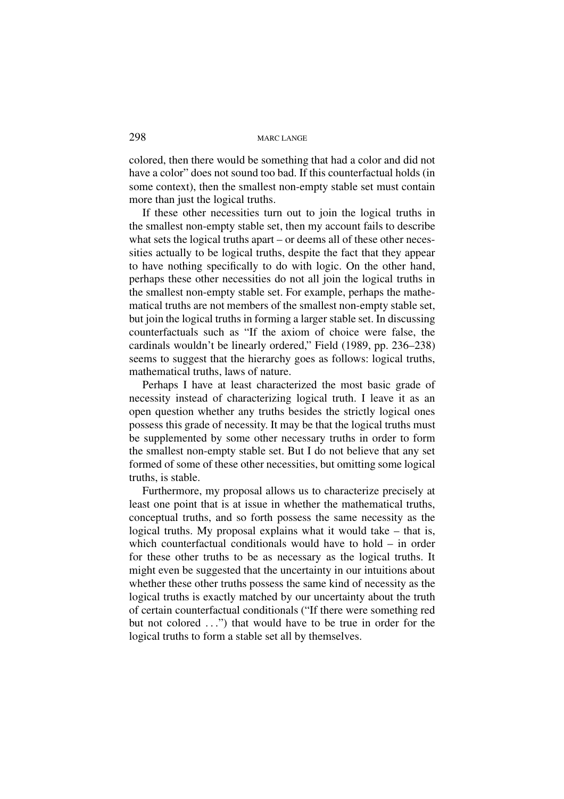colored, then there would be something that had a color and did not have a color" does not sound too bad. If this counterfactual holds (in some context), then the smallest non-empty stable set must contain more than just the logical truths.

If these other necessities turn out to join the logical truths in the smallest non-empty stable set, then my account fails to describe what sets the logical truths apart – or deems all of these other necessities actually to be logical truths, despite the fact that they appear to have nothing specifically to do with logic. On the other hand, perhaps these other necessities do not all join the logical truths in the smallest non-empty stable set. For example, perhaps the mathematical truths are not members of the smallest non-empty stable set, but join the logical truths in forming a larger stable set. In discussing counterfactuals such as "If the axiom of choice were false, the cardinals wouldn't be linearly ordered," Field (1989, pp. 236–238) seems to suggest that the hierarchy goes as follows: logical truths, mathematical truths, laws of nature.

Perhaps I have at least characterized the most basic grade of necessity instead of characterizing logical truth. I leave it as an open question whether any truths besides the strictly logical ones possess this grade of necessity. It may be that the logical truths must be supplemented by some other necessary truths in order to form the smallest non-empty stable set. But I do not believe that any set formed of some of these other necessities, but omitting some logical truths, is stable.

Furthermore, my proposal allows us to characterize precisely at least one point that is at issue in whether the mathematical truths, conceptual truths, and so forth possess the same necessity as the logical truths. My proposal explains what it would take – that is, which counterfactual conditionals would have to hold – in order for these other truths to be as necessary as the logical truths. It might even be suggested that the uncertainty in our intuitions about whether these other truths possess the same kind of necessity as the logical truths is exactly matched by our uncertainty about the truth of certain counterfactual conditionals ("If there were something red but not colored ...") that would have to be true in order for the logical truths to form a stable set all by themselves.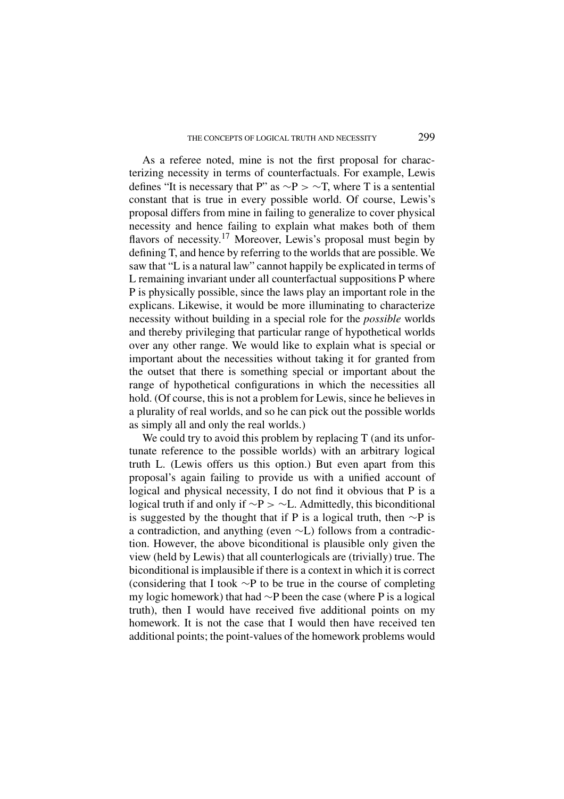As a referee noted, mine is not the first proposal for characterizing necessity in terms of counterfactuals. For example, Lewis defines "It is necessary that P" as  $\sim P > \sim T$ , where T is a sentential constant that is true in every possible world. Of course, Lewis's proposal differs from mine in failing to generalize to cover physical necessity and hence failing to explain what makes both of them flavors of necessity.<sup>17</sup> Moreover, Lewis's proposal must begin by defining T, and hence by referring to the worlds that are possible. We saw that "L is a natural law" cannot happily be explicated in terms of L remaining invariant under all counterfactual suppositions P where P is physically possible, since the laws play an important role in the explicans. Likewise, it would be more illuminating to characterize necessity without building in a special role for the *possible* worlds and thereby privileging that particular range of hypothetical worlds over any other range. We would like to explain what is special or important about the necessities without taking it for granted from the outset that there is something special or important about the range of hypothetical configurations in which the necessities all hold. (Of course, this is not a problem for Lewis, since he believes in a plurality of real worlds, and so he can pick out the possible worlds as simply all and only the real worlds.)

We could try to avoid this problem by replacing T (and its unfortunate reference to the possible worlds) with an arbitrary logical truth L. (Lewis offers us this option.) But even apart from this proposal's again failing to provide us with a unified account of logical and physical necessity, I do not find it obvious that P is a logical truth if and only if ∼P > ∼L. Admittedly, this biconditional is suggested by the thought that if P is a logical truth, then ∼P is a contradiction, and anything (even ∼L) follows from a contradiction. However, the above biconditional is plausible only given the view (held by Lewis) that all counterlogicals are (trivially) true. The biconditional is implausible if there is a context in which it is correct (considering that I took ∼P to be true in the course of completing my logic homework) that had ∼P been the case (where P is a logical truth), then I would have received five additional points on my homework. It is not the case that I would then have received ten additional points; the point-values of the homework problems would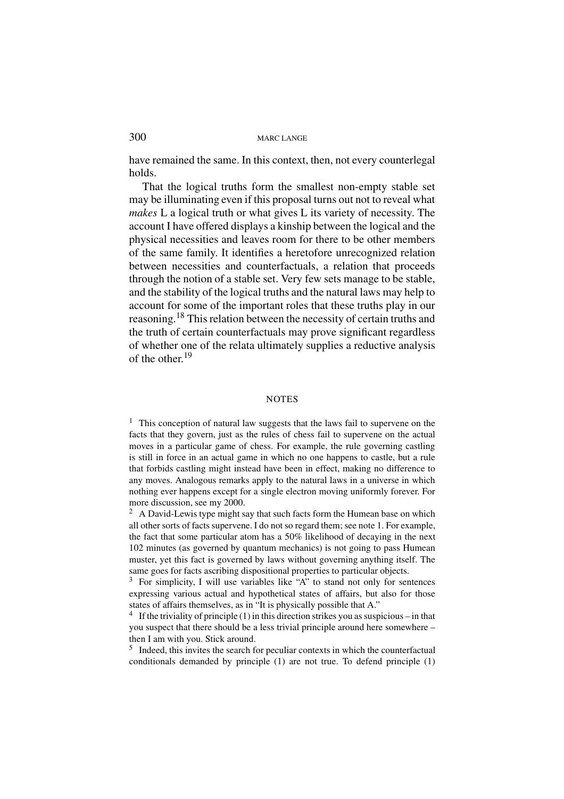have remained the same. In this context, then, not every counterlegal holds.

That the logical truths form the smallest non-empty stable set may be illuminating even if this proposal turns out not to reveal what *makes* L a logical truth or what gives L its variety of necessity. The account I have offered displays a kinship between the logical and the physical necessities and leaves room for there to be other members of the same family. It identifies a heretofore unrecognized relation between necessities and counterfactuals, a relation that proceeds through the notion of a stable set. Very few sets manage to be stable, and the stability of the logical truths and the natural laws may help to account for some of the important roles that these truths play in our reasoning.<sup>18</sup> This relation between the necessity of certain truths and the truth of certain counterfactuals may prove significant regardless of whether one of the relata ultimately supplies a reductive analysis of the other.<sup>19</sup>

### **NOTES**

 $1$ . This conception of natural law suggests that the laws fail to supervene on the facts that they govern, just as the rules of chess fail to supervene on the actual moves in a particular game of chess. For example, the rule governing castling is still in force in an actual game in which no one happens to castle, but a rule that forbids castling might instead have been in effect, making no difference to any moves. Analogous remarks apply to the natural laws in a universe in which nothing ever happens except for a single electron moving uniformly forever. For more discussion, see my 2000.

 $2 \text{ A David-Lewis type might say that such facts form the Humean base on which}$ all other sorts of facts supervene. I do not so regard them; see note 1. For example, the fact that some particular atom has a 50% likelihood of decaying in the next 102 minutes (as governed by quantum mechanics) is not going to pass Humean muster, yet this fact is governed by laws without governing anything itself. The same goes for facts ascribing dispositional properties to particular objects.

<sup>3</sup> For simplicity, I will use variables like "A" to stand not only for sentences expressing various actual and hypothetical states of affairs, but also for those states of affairs themselves, as in "It is physically possible that A."

<sup>4</sup> If the triviality of principle (1) in this direction strikes you as suspicious – in that you suspect that there should be a less trivial principle around here somewhere – then I am with you. Stick around.

 $<sup>5</sup>$  Indeed, this invites the search for peculiar contexts in which the counterfactual</sup> conditionals demanded by principle (1) are not true. To defend principle (1)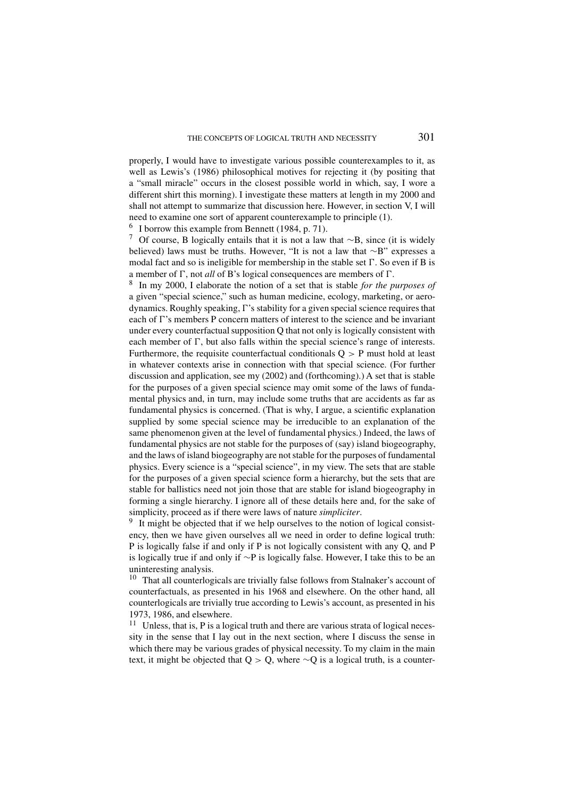properly, I would have to investigate various possible counterexamples to it, as well as Lewis's (1986) philosophical motives for rejecting it (by positing that a "small miracle" occurs in the closest possible world in which, say, I wore a different shirt this morning). I investigate these matters at length in my 2000 and shall not attempt to summarize that discussion here. However, in section V, I will need to examine one sort of apparent counterexample to principle (1).

 $6$  I borrow this example from Bennett (1984, p. 71).

<sup>7</sup> Of course, B logically entails that it is not a law that <sup>∼</sup>B, since (it is widely believed) laws must be truths. However, "It is not a law that ∼B" expresses a modal fact and so is ineligible for membership in the stable set  $\Gamma$ . So even if B is a member of  $\Gamma$ , not *all* of B's logical consequences are members of  $\Gamma$ .

<sup>8</sup> In my 2000, I elaborate the notion of a set that is stable *for the purposes of* a given "special science," such as human medicine, ecology, marketing, or aerodynamics. Roughly speaking,  $\Gamma$ 's stability for a given special science requires that each of  $\Gamma$ 's members P concern matters of interest to the science and be invariant under every counterfactual supposition Q that not only is logically consistent with each member of  $\Gamma$ , but also falls within the special science's range of interests. Furthermore, the requisite counterfactual conditionals  $Q > P$  must hold at least in whatever contexts arise in connection with that special science. (For further discussion and application, see my (2002) and (forthcoming).) A set that is stable for the purposes of a given special science may omit some of the laws of fundamental physics and, in turn, may include some truths that are accidents as far as fundamental physics is concerned. (That is why, I argue, a scientific explanation supplied by some special science may be irreducible to an explanation of the same phenomenon given at the level of fundamental physics.) Indeed, the laws of fundamental physics are not stable for the purposes of (say) island biogeography, and the laws of island biogeography are not stable for the purposes of fundamental physics. Every science is a "special science", in my view. The sets that are stable for the purposes of a given special science form a hierarchy, but the sets that are stable for ballistics need not join those that are stable for island biogeography in forming a single hierarchy. I ignore all of these details here and, for the sake of simplicity, proceed as if there were laws of nature *simpliciter*.

<sup>9</sup> It might be objected that if we help ourselves to the notion of logical consistency, then we have given ourselves all we need in order to define logical truth: P is logically false if and only if P is not logically consistent with any Q, and P is logically true if and only if ∼P is logically false. However, I take this to be an uninteresting analysis.

<sup>10</sup> That all counterlogicals are trivially false follows from Stalnaker's account of counterfactuals, as presented in his 1968 and elsewhere. On the other hand, all counterlogicals are trivially true according to Lewis's account, as presented in his 1973, 1986, and elsewhere.

 $11$  Unless, that is, P is a logical truth and there are various strata of logical necessity in the sense that I lay out in the next section, where I discuss the sense in which there may be various grades of physical necessity. To my claim in the main text, it might be objected that Q > Q, where  $\sim$ Q is a logical truth, is a counter-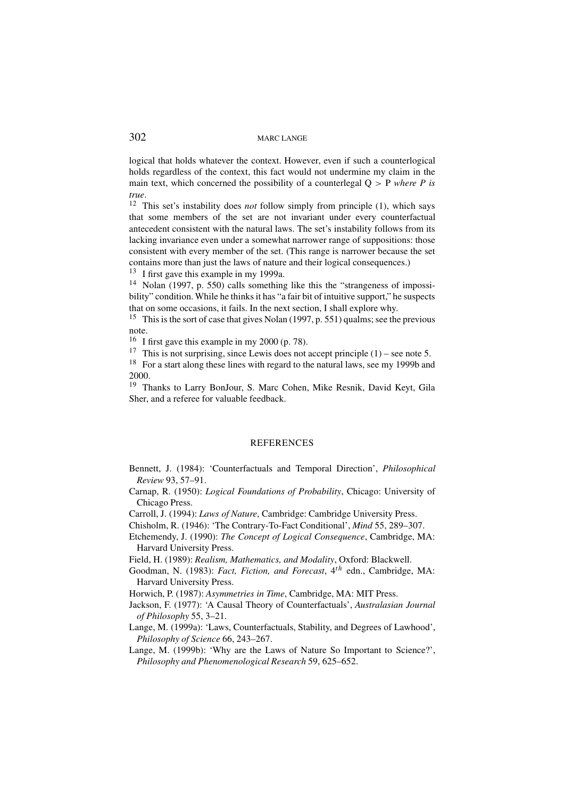logical that holds whatever the context. However, even if such a counterlogical holds regardless of the context, this fact would not undermine my claim in the main text, which concerned the possibility of a counterlegal Q > P *where P is true*.

<sup>12</sup> This set's instability does *not* follow simply from principle (1), which says that some members of the set are not invariant under every counterfactual antecedent consistent with the natural laws. The set's instability follows from its lacking invariance even under a somewhat narrower range of suppositions: those consistent with every member of the set. (This range is narrower because the set contains more than just the laws of nature and their logical consequences.)

 $13$  I first gave this example in my 1999a.

<sup>14</sup> Nolan (1997, p. 550) calls something like this the "strangeness of impossibility" condition. While he thinks it has "a fair bit of intuitive support," he suspects that on some occasions, it fails. In the next section, I shall explore why.

<sup>15</sup> This is the sort of case that gives Nolan (1997, p. 551) qualms; see the previous note.

<sup>16</sup> I first gave this example in my 2000 (p. 78).

<sup>17</sup> This is not surprising, since Lewis does not accept principle  $(1)$  – see note 5.

<sup>18</sup> For a start along these lines with regard to the natural laws, see my 1999b and 2000.

<sup>19</sup> Thanks to Larry BonJour, S. Marc Cohen, Mike Resnik, David Keyt, Gila Sher, and a referee for valuable feedback.

## **REFERENCES**

- Bennett, J. (1984): 'Counterfactuals and Temporal Direction', *Philosophical Review* 93, 57–91.
- Carnap, R. (1950): *Logical Foundations of Probability*, Chicago: University of Chicago Press.
- Carroll, J. (1994): *Laws of Nature*, Cambridge: Cambridge University Press.
- Chisholm, R. (1946): 'The Contrary-To-Fact Conditional', *Mind* 55, 289–307.
- Etchemendy, J. (1990): *The Concept of Logical Consequence*, Cambridge, MA: Harvard University Press.
- Field, H. (1989): *Realism, Mathematics, and Modality*, Oxford: Blackwell.
- Goodman, N. (1983): *Fact, Fiction, and Forecast*, 4<sup>th</sup> edn., Cambridge, MA: Harvard University Press.

Horwich, P. (1987): *Asymmetries in Time*, Cambridge, MA: MIT Press.

- Jackson, F. (1977): 'A Causal Theory of Counterfactuals', *Australasian Journal of Philosophy* 55, 3–21.
- Lange, M. (1999a): 'Laws, Counterfactuals, Stability, and Degrees of Lawhood', *Philosophy of Science* 66, 243–267.
- Lange, M. (1999b): 'Why are the Laws of Nature So Important to Science?', *Philosophy and Phenomenological Research* 59, 625–652.